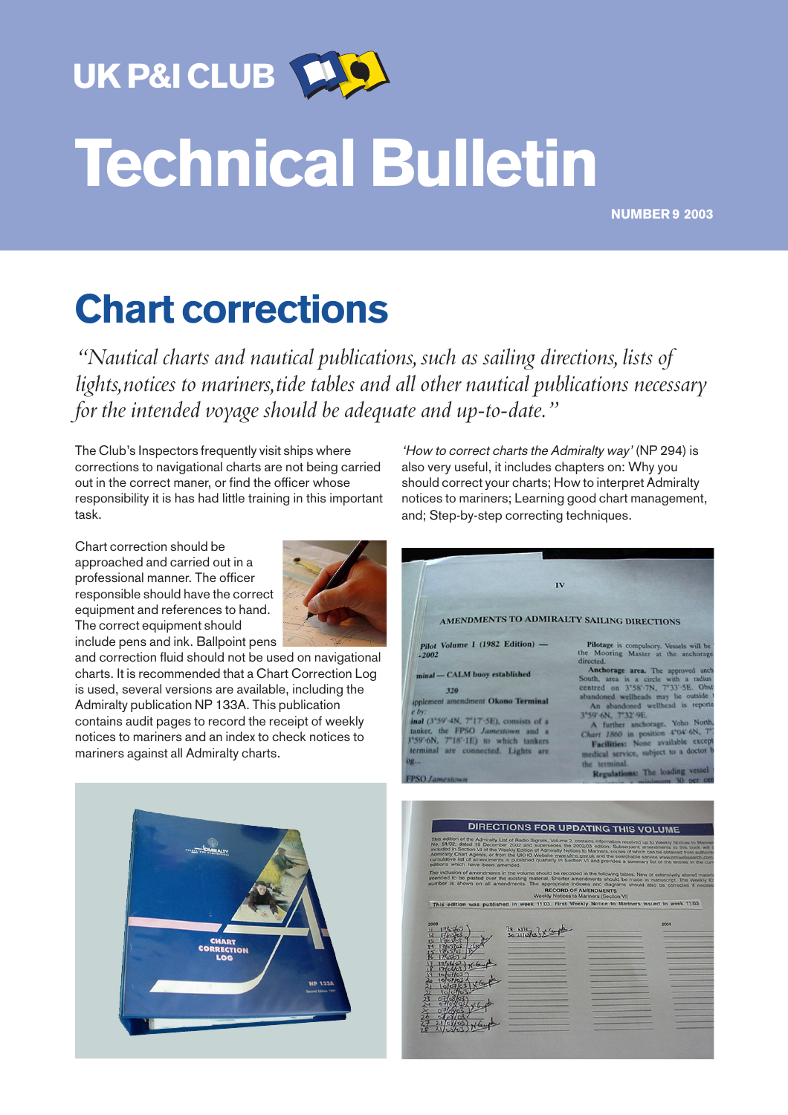UK P&I CLUB

## Technical Bulletin

NUMBER 9 2003

## Chart corrections

*"Nautical charts and nautical publications, such as sailing directions, lists of lights,notices to mariners,tide tables and all other nautical publications necessary for the intended voyage should be adequate and up-to-date."*

The Club's Inspectors frequently visit ships where corrections to navigational charts are not being carried out in the correct maner, or find the officer whose responsibility it is has had little training in this important task.

Chart correction should be approached and carried out in a professional manner. The officer responsible should have the correct equipment and references to hand. The correct equipment should include pens and ink. Ballpoint pens



and correction fluid should not be used on navigational charts. It is recommended that a Chart Correction Log is used, several versions are available, including the Admiralty publication NP 133A. This publication contains audit pages to record the receipt of weekly notices to mariners and an index to check notices to mariners against all Admiralty charts.



'How to correct charts the Admiralty way' (NP 294) is also very useful, it includes chapters on: Why you should correct your charts; How to interpret Admiralty notices to mariners; Learning good chart management, and; Step-by-step correcting techniques.

| IV<br>AMENDMENTS TO ADMIRALTY SAILING DIRECTIONS                                                                                                                                                                                                                                                                                    |                                                                                                                                                                                                                                                                                                                                                                                                                                                                                                                                                    |
|-------------------------------------------------------------------------------------------------------------------------------------------------------------------------------------------------------------------------------------------------------------------------------------------------------------------------------------|----------------------------------------------------------------------------------------------------------------------------------------------------------------------------------------------------------------------------------------------------------------------------------------------------------------------------------------------------------------------------------------------------------------------------------------------------------------------------------------------------------------------------------------------------|
| Pilot Volume I (1982 Edition) -<br>$-2002$<br>minal - CALM buoy established<br>320<br>ipplement amendment Okono Terminal<br>ebv<br>inal (3°59'-4N, 7"17'-5E), consists of a<br>tanker, the FPSO Jamestown and a<br>3°59'-6N, 7"18'-1E) to which tankers<br>terminal are connected. Lights are<br><b>OR</b><br><b>FPSO Jamestewn</b> | Pilotage is compulsory. Vessels will be<br>the Mooring Master at the anchorage<br>directed.<br>Anchorage area. The approved ancho<br>South, area is a circle with a radius<br>centred on 3°58'-7N, 7°33'-5E. Obstr<br>abandoned wellheads may lie outside<br>An abandoned wellhead is reporte<br>3°59'-6N, 7°32'-9E<br>A further anchorage, Yoho North,<br>Chart 1860 in position 4°04'-6N, 7°2<br>Facilities: None available except<br>medical service, subject to a doctor b<br>the terminal.<br>Regulations: The loading vessel<br>$m2$ oet cen |

 $115 - 1 \times 6$ 

| .                             |  |
|-------------------------------|--|
| ax.                           |  |
| $H/\alpha$<br>$\mathbf{R}$    |  |
| 176563<br>$13 -$              |  |
| 14.1365263                    |  |
| $15 \frac{19}{6} \frac{5}{6}$ |  |
| $H_0$<br>16                   |  |
| 16601<br>ШΡ                   |  |
| 17/6(67)<br>18                |  |
| 19<br>107/03                  |  |
| 10/07/03<br>$20 -$            |  |
| 10.67/03<br>24                |  |
| 10/67/63                      |  |
|                               |  |
| $0 + 63/03$                   |  |
| $H_0 \sqrt{q_3}$<br>o         |  |
| $O$ $H$ $O$ $O$               |  |
| $M_{\rm e}$                   |  |
| 刮線                            |  |
|                               |  |
|                               |  |
|                               |  |
|                               |  |